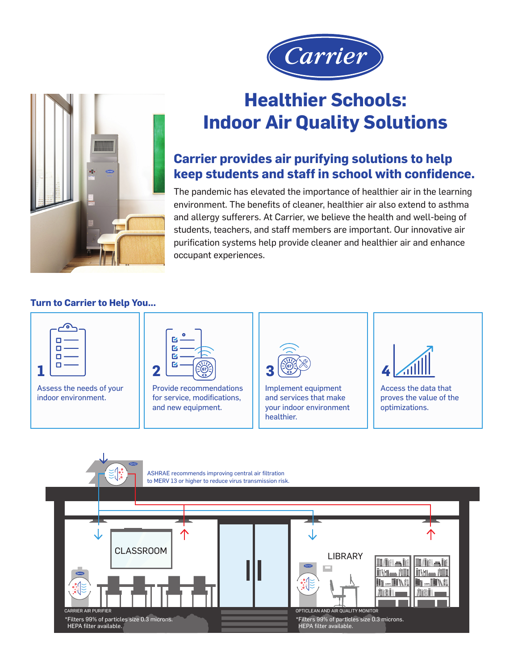



# **Healthier Schools: Indoor Air Quality Solutions**

## **Carrier provides air purifying solutions to help keep students and staff in school with confidence.**

The pandemic has elevated the importance of healthier air in the learning environment. The benefits of cleaner, healthier air also extend to asthma and allergy sufferers. At Carrier, we believe the health and well-being of students, teachers, and staff members are important. Our innovative air purification systems help provide cleaner and healthier air and enhance occupant experiences.

#### **Turn to Carrier to Help You...**



Assess the needs of your indoor environment.



Provide recommendations for service, modifications, and new equipment.



Implement equipment and services that make your indoor environment healthier.



Access the data that proves the value of the optimizations.